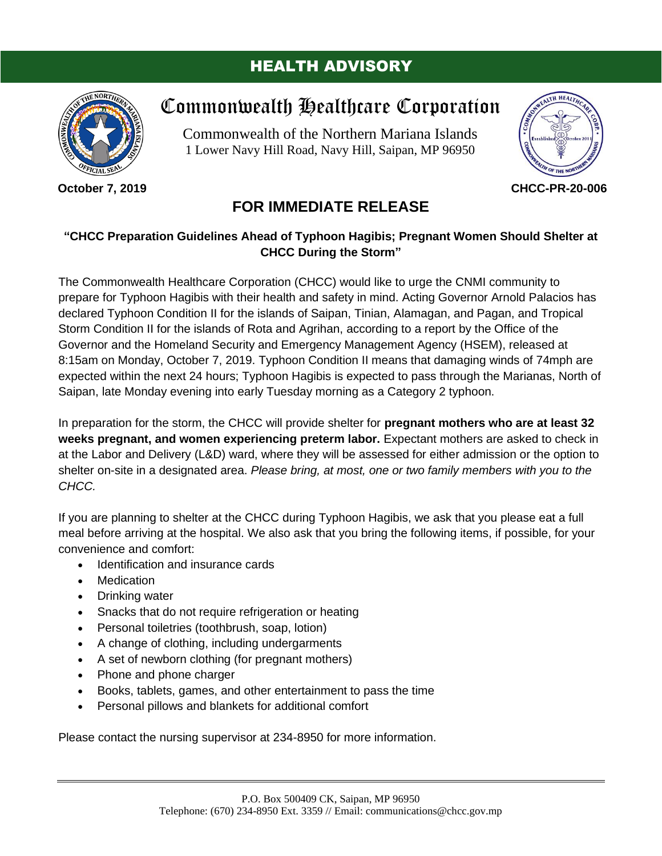### HEALTH ADVISORY



**October 7, 2019**

# Commonwealth Healthcare Corporation

Commonwealth of the Northern Mariana Islands 1 Lower Navy Hill Road, Navy Hill, Saipan, MP 96950



**CHCC-PR-20-006**

## **FOR IMMEDIATE RELEASE**

#### **"CHCC Preparation Guidelines Ahead of Typhoon Hagibis; Pregnant Women Should Shelter at CHCC During the Storm"**

The Commonwealth Healthcare Corporation (CHCC) would like to urge the CNMI community to prepare for Typhoon Hagibis with their health and safety in mind. Acting Governor Arnold Palacios has declared Typhoon Condition II for the islands of Saipan, Tinian, Alamagan, and Pagan, and Tropical Storm Condition II for the islands of Rota and Agrihan, according to a report by the Office of the Governor and the Homeland Security and Emergency Management Agency (HSEM), released at 8:15am on Monday, October 7, 2019. Typhoon Condition II means that damaging winds of 74mph are expected within the next 24 hours; Typhoon Hagibis is expected to pass through the Marianas, North of Saipan, late Monday evening into early Tuesday morning as a Category 2 typhoon.

In preparation for the storm, the CHCC will provide shelter for **pregnant mothers who are at least 32 weeks pregnant, and women experiencing preterm labor.** Expectant mothers are asked to check in at the Labor and Delivery (L&D) ward, where they will be assessed for either admission or the option to shelter on-site in a designated area. *Please bring, at most, one or two family members with you to the CHCC.*

If you are planning to shelter at the CHCC during Typhoon Hagibis, we ask that you please eat a full meal before arriving at the hospital. We also ask that you bring the following items, if possible, for your convenience and comfort:

- Identification and insurance cards
- Medication
- Drinking water
- Snacks that do not require refrigeration or heating
- Personal toiletries (toothbrush, soap, lotion)
- A change of clothing, including undergarments
- A set of newborn clothing (for pregnant mothers)
- Phone and phone charger
- Books, tablets, games, and other entertainment to pass the time
- Personal pillows and blankets for additional comfort

Please contact the nursing supervisor at 234-8950 for more information.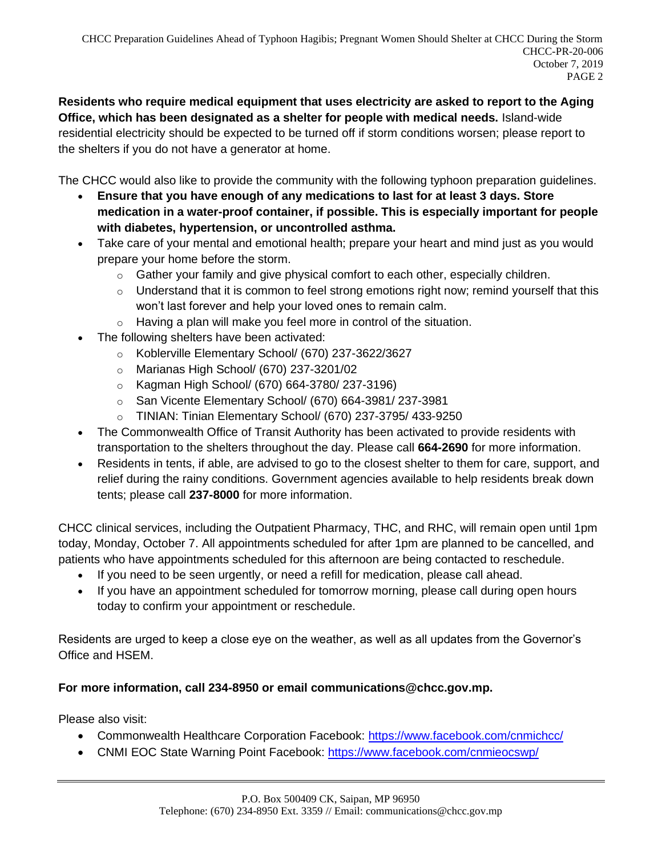**Residents who require medical equipment that uses electricity are asked to report to the Aging Office, which has been designated as a shelter for people with medical needs.** Island-wide residential electricity should be expected to be turned off if storm conditions worsen; please report to the shelters if you do not have a generator at home.

The CHCC would also like to provide the community with the following typhoon preparation guidelines.

- **Ensure that you have enough of any medications to last for at least 3 days. Store medication in a water-proof container, if possible. This is especially important for people with diabetes, hypertension, or uncontrolled asthma.**
- Take care of your mental and emotional health; prepare your heart and mind just as you would prepare your home before the storm.
	- $\circ$  Gather your family and give physical comfort to each other, especially children.
	- $\circ$  Understand that it is common to feel strong emotions right now; remind yourself that this won't last forever and help your loved ones to remain calm.
	- $\circ$  Having a plan will make you feel more in control of the situation.
- The following shelters have been activated:
	- o Koblerville Elementary School/ (670) 237-3622/3627
	- o Marianas High School/ (670) 237-3201/02
	- o Kagman High School/ (670) 664-3780/ 237-3196)
	- o San Vicente Elementary School/ (670) 664-3981/ 237-3981
	- o TINIAN: Tinian Elementary School/ (670) 237-3795/ 433-9250
- The Commonwealth Office of Transit Authority has been activated to provide residents with transportation to the shelters throughout the day. Please call **664-2690** for more information.
- Residents in tents, if able, are advised to go to the closest shelter to them for care, support, and relief during the rainy conditions. Government agencies available to help residents break down tents; please call **237-8000** for more information.

CHCC clinical services, including the Outpatient Pharmacy, THC, and RHC, will remain open until 1pm today, Monday, October 7. All appointments scheduled for after 1pm are planned to be cancelled, and patients who have appointments scheduled for this afternoon are being contacted to reschedule.

- If you need to be seen urgently, or need a refill for medication, please call ahead.
- If you have an appointment scheduled for tomorrow morning, please call during open hours today to confirm your appointment or reschedule.

Residents are urged to keep a close eye on the weather, as well as all updates from the Governor's Office and HSEM.

#### **For more information, call 234-8950 or email communications@chcc.gov.mp.**

Please also visit:

- Commonwealth Healthcare Corporation Facebook:<https://www.facebook.com/cnmichcc/>
- CNMI EOC State Warning Point Facebook:<https://www.facebook.com/cnmieocswp/>